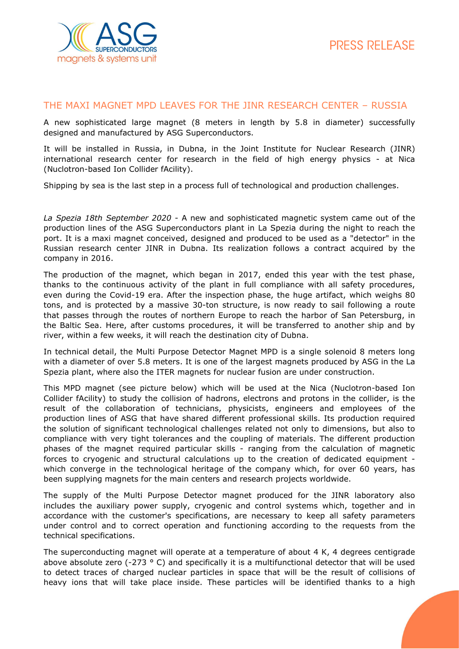



## THE MAXI MAGNET MPD LEAVES FOR THE JINR RESEARCH CENTER – RUSSIA

A new sophisticated large magnet (8 meters in length by 5.8 in diameter) successfully designed and manufactured by ASG Superconductors.

It will be installed in Russia, in Dubna, in the Joint Institute for Nuclear Research (JINR) international research center for research in the field of high energy physics - at Nica (Nuclotron-based Ion Collider fAсility).

Shipping by sea is the last step in a process full of technological and production challenges.

La Spezia 18th September 2020 - A new and sophisticated magnetic system came out of the production lines of the ASG Superconductors plant in La Spezia during the night to reach the port. It is a maxi magnet conceived, designed and produced to be used as a "detector" in the Russian research center JINR in Dubna. Its realization follows a contract acquired by the company in 2016.

The production of the magnet, which began in 2017, ended this year with the test phase, thanks to the continuous activity of the plant in full compliance with all safety procedures, even during the Covid-19 era. After the inspection phase, the huge artifact, which weighs 80 tons, and is protected by a massive 30-ton structure, is now ready to sail following a route that passes through the routes of northern Europe to reach the harbor of San Petersburg, in the Baltic Sea. Here, after customs procedures, it will be transferred to another ship and by river, within a few weeks, it will reach the destination city of Dubna.

In technical detail, the Multi Purpose Detector Magnet MPD is a single solenoid 8 meters long with a diameter of over 5.8 meters. It is one of the largest magnets produced by ASG in the La Spezia plant, where also the ITER magnets for nuclear fusion are under construction.

This MPD magnet (see picture below) which will be used at the Nica (Nuclotron-based Ion Collider fAсility) to study the collision of hadrons, electrons and protons in the collider, is the result of the collaboration of technicians, physicists, engineers and employees of the production lines of ASG that have shared different professional skills. Its production required the solution of significant technological challenges related not only to dimensions, but also to compliance with very tight tolerances and the coupling of materials. The different production phases of the magnet required particular skills - ranging from the calculation of magnetic forces to cryogenic and structural calculations up to the creation of dedicated equipment which converge in the technological heritage of the company which, for over 60 years, has been supplying magnets for the main centers and research projects worldwide.

The supply of the Multi Purpose Detector magnet produced for the JINR laboratory also includes the auxiliary power supply, cryogenic and control systems which, together and in accordance with the customer's specifications, are necessary to keep all safety parameters under control and to correct operation and functioning according to the requests from the technical specifications.

The superconducting magnet will operate at a temperature of about 4 K, 4 degrees centigrade above absolute zero (-273  $\degree$  C) and specifically it is a multifunctional detector that will be used to detect traces of charged nuclear particles in space that will be the result of collisions of heavy ions that will take place inside. These particles will be identified thanks to a high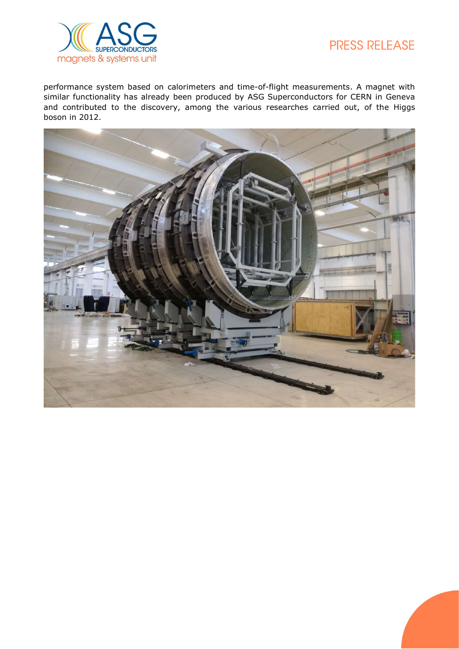



performance system based on calorimeters and time-of-flight measurements. A magnet with similar functionality has already been produced by ASG Superconductors for CERN in Geneva and contributed to the discovery, among the various researches carried out, of the Higgs boson in 2012.

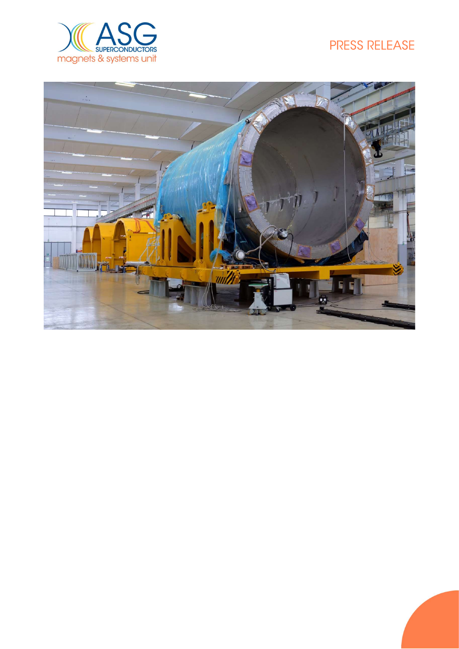



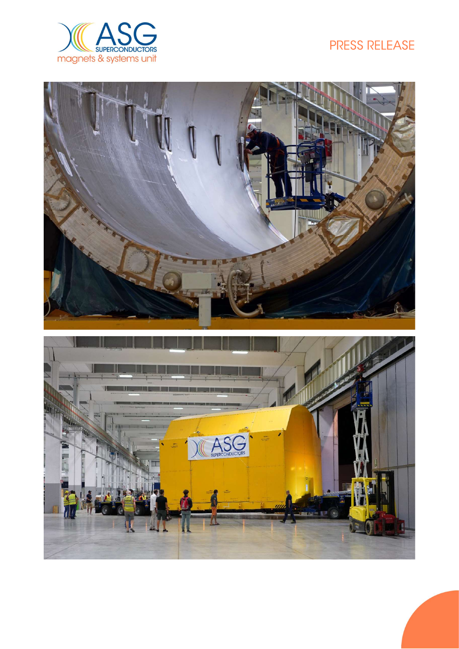

## **PRESS RELEASE**